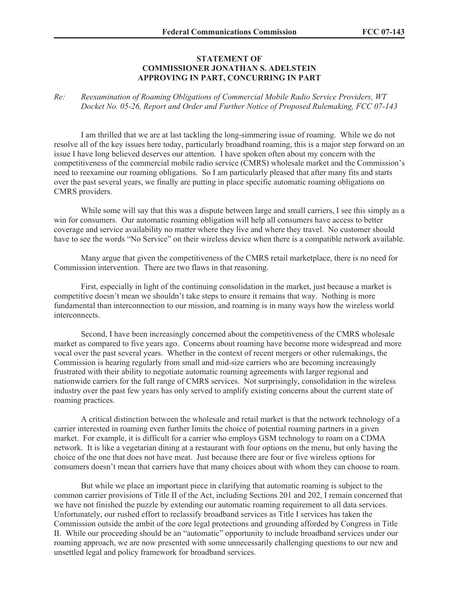## **STATEMENT OF COMMISSIONER JONATHAN S. ADELSTEIN APPROVING IN PART, CONCURRING IN PART**

## *Re: Reexamination of Roaming Obligations of Commercial Mobile Radio Service Providers, WT Docket No. 05-26, Report and Order and Further Notice of Proposed Rulemaking, FCC 07-143*

I am thrilled that we are at last tackling the long-simmering issue of roaming. While we do not resolve all of the key issues here today, particularly broadband roaming, this is a major step forward on an issue I have long believed deserves our attention. I have spoken often about my concern with the competitiveness of the commercial mobile radio service (CMRS) wholesale market and the Commission's need to reexamine our roaming obligations. So I am particularly pleased that after many fits and starts over the past several years, we finally are putting in place specific automatic roaming obligations on CMRS providers.

While some will say that this was a dispute between large and small carriers, I see this simply as a win for consumers. Our automatic roaming obligation will help all consumers have access to better coverage and service availability no matter where they live and where they travel. No customer should have to see the words "No Service" on their wireless device when there is a compatible network available.

Many argue that given the competitiveness of the CMRS retail marketplace, there is no need for Commission intervention. There are two flaws in that reasoning.

First, especially in light of the continuing consolidation in the market, just because a market is competitive doesn't mean we shouldn't take steps to ensure it remains that way. Nothing is more fundamental than interconnection to our mission, and roaming is in many ways how the wireless world **interconnects** 

Second, I have been increasingly concerned about the competitiveness of the CMRS wholesale market as compared to five years ago. Concerns about roaming have become more widespread and more vocal over the past several years. Whether in the context of recent mergers or other rulemakings, the Commission is hearing regularly from small and mid-size carriers who are becoming increasingly frustrated with their ability to negotiate automatic roaming agreements with larger regional and nationwide carriers for the full range of CMRS services. Not surprisingly, consolidation in the wireless industry over the past few years has only served to amplify existing concerns about the current state of roaming practices.

A critical distinction between the wholesale and retail market is that the network technology of a carrier interested in roaming even further limits the choice of potential roaming partners in a given market. For example, it is difficult for a carrier who employs GSM technology to roam on a CDMA network. It is like a vegetarian dining at a restaurant with four options on the menu, but only having the choice of the one that does not have meat. Just because there are four or five wireless options for consumers doesn't mean that carriers have that many choices about with whom they can choose to roam.

But while we place an important piece in clarifying that automatic roaming is subject to the common carrier provisions of Title II of the Act, including Sections 201 and 202, I remain concerned that we have not finished the puzzle by extending our automatic roaming requirement to all data services. Unfortunately, our rushed effort to reclassify broadband services as Title I services has taken the Commission outside the ambit of the core legal protections and grounding afforded by Congress in Title II. While our proceeding should be an "automatic" opportunity to include broadband services under our roaming approach, we are now presented with some unnecessarily challenging questions to our new and unsettled legal and policy framework for broadband services.